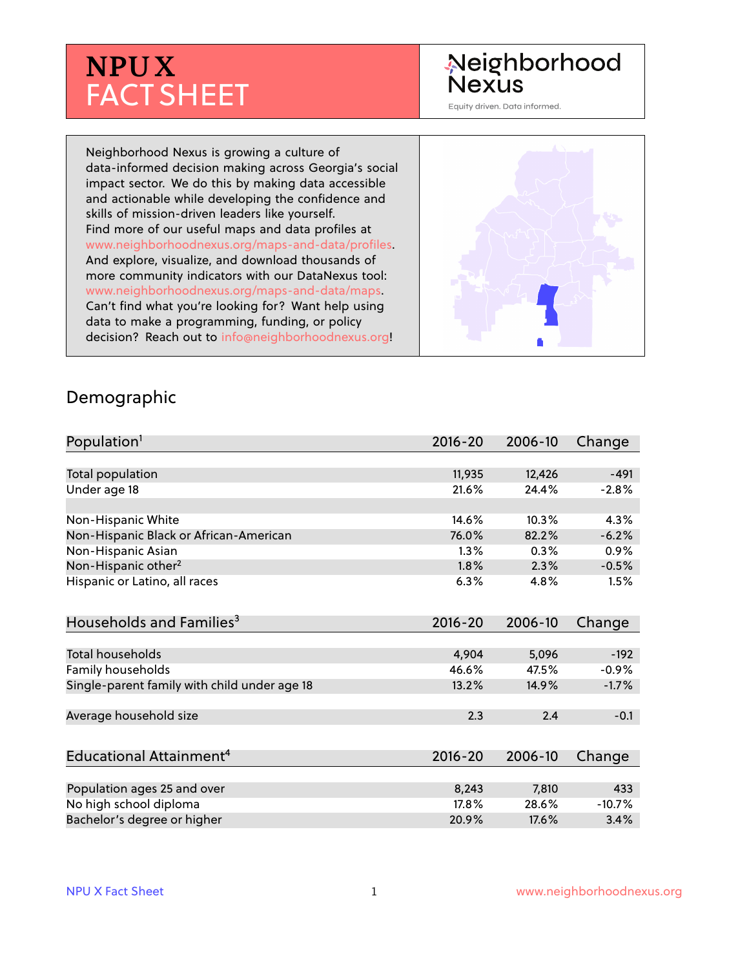# **NPUX** FACT SHEET

## Neighborhood **Nexus**

Equity driven. Data informed.

Neighborhood Nexus is growing a culture of data-informed decision making across Georgia's social impact sector. We do this by making data accessible and actionable while developing the confidence and skills of mission-driven leaders like yourself. Find more of our useful maps and data profiles at www.neighborhoodnexus.org/maps-and-data/profiles. And explore, visualize, and download thousands of more community indicators with our DataNexus tool: www.neighborhoodnexus.org/maps-and-data/maps. Can't find what you're looking for? Want help using data to make a programming, funding, or policy decision? Reach out to [info@neighborhoodnexus.org!](mailto:info@neighborhoodnexus.org)



#### Demographic

| Population <sup>1</sup>                      | $2016 - 20$ | 2006-10 | Change   |
|----------------------------------------------|-------------|---------|----------|
|                                              |             |         |          |
| Total population                             | 11,935      | 12,426  | $-491$   |
| Under age 18                                 | 21.6%       | 24.4%   | $-2.8%$  |
|                                              |             |         |          |
| Non-Hispanic White                           | 14.6%       | 10.3%   | 4.3%     |
| Non-Hispanic Black or African-American       | 76.0%       | 82.2%   | $-6.2%$  |
| Non-Hispanic Asian                           | 1.3%        | 0.3%    | 0.9%     |
| Non-Hispanic other <sup>2</sup>              | 1.8%        | 2.3%    | $-0.5%$  |
| Hispanic or Latino, all races                | 6.3%        | 4.8%    | 1.5%     |
| Households and Families <sup>3</sup>         | $2016 - 20$ | 2006-10 | Change   |
|                                              |             |         |          |
| <b>Total households</b>                      | 4,904       | 5,096   | $-192$   |
| Family households                            | 46.6%       | 47.5%   | $-0.9%$  |
| Single-parent family with child under age 18 | 13.2%       | 14.9%   | $-1.7%$  |
| Average household size                       | 2.3         | 2.4     | $-0.1$   |
|                                              |             |         |          |
| Educational Attainment <sup>4</sup>          | $2016 - 20$ | 2006-10 | Change   |
|                                              |             |         |          |
| Population ages 25 and over                  | 8,243       | 7,810   | 433      |
| No high school diploma                       | 17.8%       | 28.6%   | $-10.7%$ |
| Bachelor's degree or higher                  | 20.9%       | 17.6%   | 3.4%     |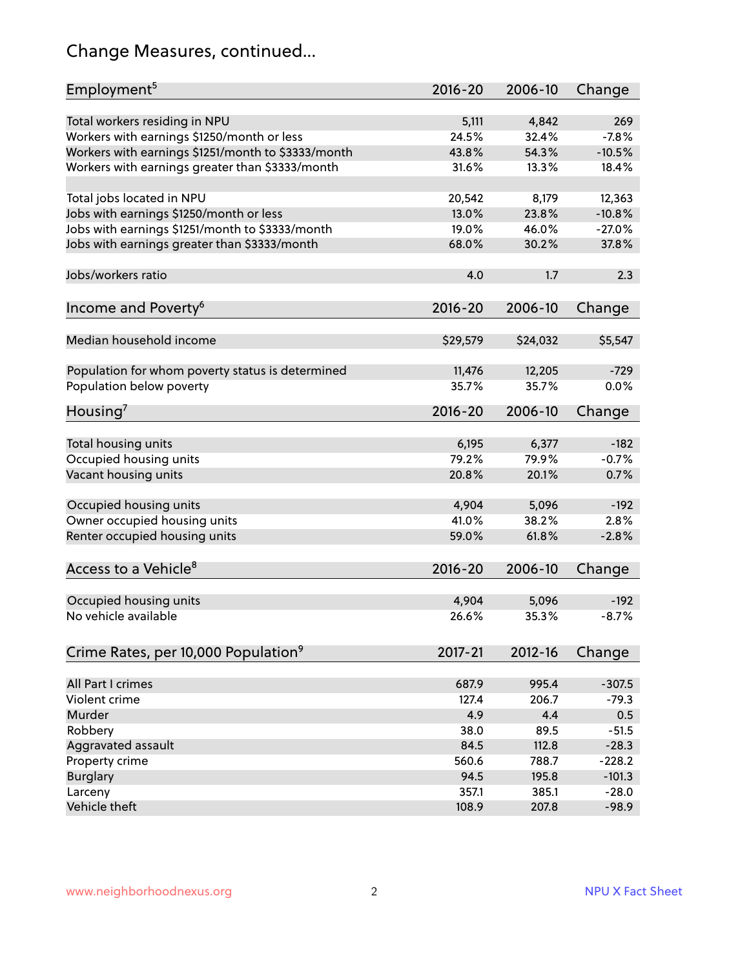## Change Measures, continued...

| Employment <sup>5</sup>                            | $2016 - 20$     | 2006-10  | Change   |
|----------------------------------------------------|-----------------|----------|----------|
|                                                    |                 |          |          |
| Total workers residing in NPU                      | 5,111           | 4,842    | 269      |
| Workers with earnings \$1250/month or less         | 24.5%           | 32.4%    | $-7.8%$  |
| Workers with earnings \$1251/month to \$3333/month | 43.8%           | 54.3%    | $-10.5%$ |
| Workers with earnings greater than \$3333/month    | 31.6%           | 13.3%    | 18.4%    |
|                                                    |                 |          |          |
| Total jobs located in NPU                          | 20,542          | 8,179    | 12,363   |
| Jobs with earnings \$1250/month or less            | 13.0%           | 23.8%    | $-10.8%$ |
| Jobs with earnings \$1251/month to \$3333/month    | 19.0%           | 46.0%    | $-27.0%$ |
| Jobs with earnings greater than \$3333/month       | 68.0%           | 30.2%    | 37.8%    |
|                                                    |                 |          |          |
| Jobs/workers ratio                                 | 4.0             | 1.7      | 2.3      |
|                                                    |                 |          |          |
| Income and Poverty <sup>6</sup>                    | 2016-20         | 2006-10  | Change   |
|                                                    |                 |          |          |
| Median household income                            | \$29,579        | \$24,032 | \$5,547  |
|                                                    |                 |          |          |
|                                                    |                 | 12,205   | $-729$   |
| Population for whom poverty status is determined   | 11,476<br>35.7% | 35.7%    | 0.0%     |
| Population below poverty                           |                 |          |          |
| Housing <sup>7</sup>                               | 2016-20         | 2006-10  | Change   |
|                                                    |                 |          |          |
| Total housing units                                | 6,195           | 6,377    | $-182$   |
| Occupied housing units                             | 79.2%           | 79.9%    | $-0.7%$  |
| Vacant housing units                               | 20.8%           | 20.1%    | 0.7%     |
|                                                    |                 |          |          |
| Occupied housing units                             | 4,904           | 5,096    | $-192$   |
| Owner occupied housing units                       | 41.0%           | 38.2%    | 2.8%     |
| Renter occupied housing units                      | 59.0%           | 61.8%    | $-2.8%$  |
|                                                    |                 |          |          |
| Access to a Vehicle <sup>8</sup>                   | $2016 - 20$     | 2006-10  | Change   |
|                                                    |                 |          |          |
|                                                    |                 |          |          |
| Occupied housing units                             | 4,904           | 5,096    | $-192$   |
| No vehicle available                               | 26.6%           | 35.3%    | $-8.7%$  |
|                                                    |                 |          |          |
| Crime Rates, per 10,000 Population <sup>9</sup>    | 2017-21         | 2012-16  | Change   |
|                                                    |                 |          |          |
| All Part I crimes                                  | 687.9           | 995.4    | $-307.5$ |
| Violent crime                                      | 127.4           | 206.7    | $-79.3$  |
| Murder                                             | 4.9             | 4.4      | 0.5      |
| Robbery                                            | 38.0            | 89.5     | $-51.5$  |
| Aggravated assault                                 | 84.5            | 112.8    | $-28.3$  |
| Property crime                                     | 560.6           | 788.7    | $-228.2$ |
| <b>Burglary</b>                                    | 94.5            | 195.8    | $-101.3$ |
| Larceny                                            | 357.1           | 385.1    | $-28.0$  |
| Vehicle theft                                      | 108.9           | 207.8    | $-98.9$  |
|                                                    |                 |          |          |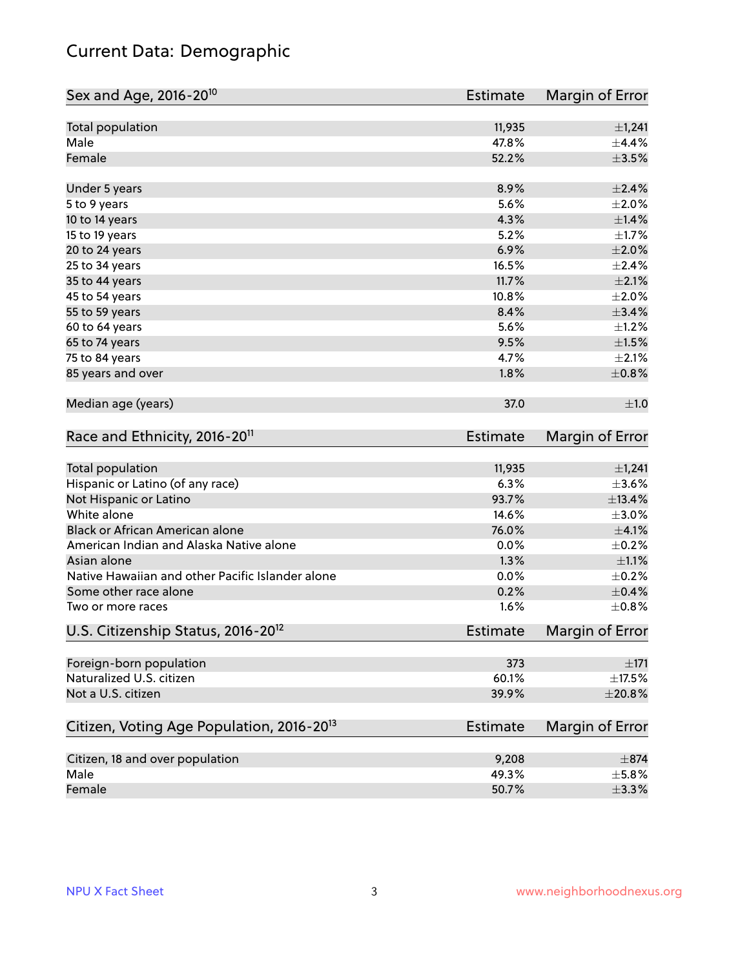## Current Data: Demographic

| Sex and Age, 2016-20 <sup>10</sup>                    | Estimate        | Margin of Error |
|-------------------------------------------------------|-----------------|-----------------|
| Total population                                      | 11,935          | ±1,241          |
| Male                                                  | 47.8%           | ±4.4%           |
| Female                                                | 52.2%           | $\pm 3.5\%$     |
| Under 5 years                                         | 8.9%            | $\pm 2.4\%$     |
| 5 to 9 years                                          | 5.6%            | $\pm 2.0\%$     |
| 10 to 14 years                                        | 4.3%            | ±1.4%           |
| 15 to 19 years                                        | 5.2%            | $\pm1.7\%$      |
| 20 to 24 years                                        | 6.9%            | $\pm 2.0\%$     |
| 25 to 34 years                                        | 16.5%           | ±2.4%           |
| 35 to 44 years                                        | 11.7%           | $\pm 2.1\%$     |
| 45 to 54 years                                        | 10.8%           | $\pm 2.0\%$     |
| 55 to 59 years                                        | 8.4%            | ±3.4%           |
| 60 to 64 years                                        | 5.6%            | $\pm 1.2\%$     |
| 65 to 74 years                                        | 9.5%            | $\pm1.5\%$      |
| 75 to 84 years                                        | 4.7%            | $\pm 2.1\%$     |
| 85 years and over                                     | 1.8%            | $\pm$ 0.8%      |
| Median age (years)                                    | 37.0            | ±1.0            |
| Race and Ethnicity, 2016-20 <sup>11</sup>             | Estimate        | Margin of Error |
| <b>Total population</b>                               | 11,935          | ±1,241          |
| Hispanic or Latino (of any race)                      | 6.3%            | $\pm 3.6\%$     |
| Not Hispanic or Latino                                | 93.7%           | ±13.4%          |
| White alone                                           | 14.6%           | $\pm 3.0\%$     |
| Black or African American alone                       | 76.0%           | $\pm 4.1\%$     |
| American Indian and Alaska Native alone               | 0.0%            | $\pm$ 0.2%      |
| Asian alone                                           | 1.3%            | $\pm 1.1\%$     |
| Native Hawaiian and other Pacific Islander alone      | 0.0%            | $\pm$ 0.2%      |
| Some other race alone                                 | 0.2%            | $\pm$ 0.4%      |
| Two or more races                                     | 1.6%            | $\pm$ 0.8%      |
| U.S. Citizenship Status, 2016-20 <sup>12</sup>        | Estimate        | Margin of Error |
| Foreign-born population                               | 373             | $\pm 171$       |
| Naturalized U.S. citizen                              | 60.1%           | $\pm$ 17.5%     |
| Not a U.S. citizen                                    | 39.9%           | $\pm 20.8\%$    |
| Citizen, Voting Age Population, 2016-20 <sup>13</sup> | <b>Estimate</b> | Margin of Error |
| Citizen, 18 and over population                       | 9,208           | $\pm$ 874       |
| Male                                                  | 49.3%           | ±5.8%           |
| Female                                                | 50.7%           | $\pm$ 3.3%      |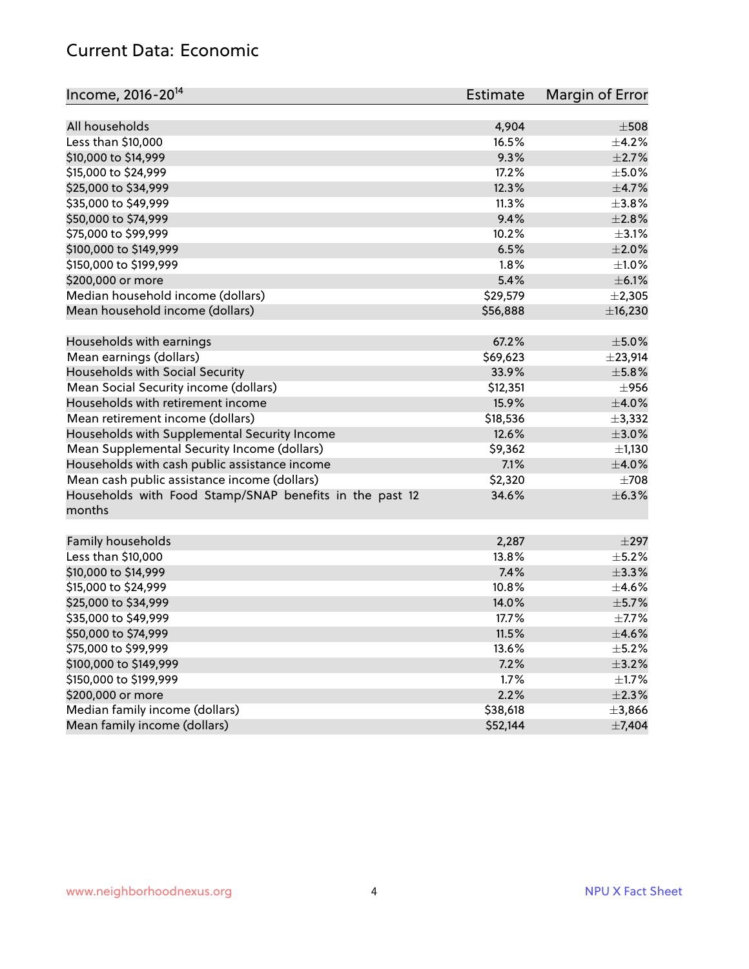#### Current Data: Economic

| Income, 2016-20 <sup>14</sup>                                     | <b>Estimate</b> | Margin of Error |
|-------------------------------------------------------------------|-----------------|-----------------|
| All households                                                    | 4,904           | $\pm 508$       |
| Less than \$10,000                                                | 16.5%           | $\pm$ 4.2%      |
| \$10,000 to \$14,999                                              | 9.3%            | $\pm 2.7\%$     |
| \$15,000 to \$24,999                                              | 17.2%           | $\pm$ 5.0%      |
|                                                                   | 12.3%           |                 |
| \$25,000 to \$34,999                                              |                 | $\pm$ 4.7%      |
| \$35,000 to \$49,999                                              | 11.3%           | $\pm$ 3.8%      |
| \$50,000 to \$74,999                                              | 9.4%            | $\pm 2.8\%$     |
| \$75,000 to \$99,999                                              | 10.2%           | $\pm$ 3.1%      |
| \$100,000 to \$149,999                                            | 6.5%            | ±2.0%           |
| \$150,000 to \$199,999                                            | 1.8%            | $\pm 1.0\%$     |
| \$200,000 or more                                                 | 5.4%            | $\pm$ 6.1%      |
| Median household income (dollars)                                 | \$29,579        | $\pm 2,305$     |
| Mean household income (dollars)                                   | \$56,888        | ±16,230         |
| Households with earnings                                          | 67.2%           | $\pm$ 5.0%      |
| Mean earnings (dollars)                                           | \$69,623        | ±23,914         |
| Households with Social Security                                   | 33.9%           | $\pm$ 5.8%      |
| Mean Social Security income (dollars)                             | \$12,351        | $\pm$ 956       |
| Households with retirement income                                 | 15.9%           | $\pm$ 4.0%      |
| Mean retirement income (dollars)                                  | \$18,536        | ±3,332          |
| Households with Supplemental Security Income                      | 12.6%           | $\pm 3.0\%$     |
| Mean Supplemental Security Income (dollars)                       | \$9,362         | ±1,130          |
| Households with cash public assistance income                     | 7.1%            | $\pm$ 4.0%      |
| Mean cash public assistance income (dollars)                      | \$2,320         | $\pm 708$       |
| Households with Food Stamp/SNAP benefits in the past 12<br>months | 34.6%           | ±6.3%           |
| Family households                                                 | 2,287           | $\pm$ 297       |
| Less than \$10,000                                                | 13.8%           | $\pm$ 5.2%      |
| \$10,000 to \$14,999                                              | 7.4%            | ±3.3%           |
| \$15,000 to \$24,999                                              | 10.8%           | $\pm$ 4.6%      |
| \$25,000 to \$34,999                                              | 14.0%           | $\pm$ 5.7%      |
| \$35,000 to \$49,999                                              | 17.7%           | $\pm$ 7.7%      |
| \$50,000 to \$74,999                                              | 11.5%           | $\pm$ 4.6%      |
| \$75,000 to \$99,999                                              | 13.6%           | $\pm$ 5.2%      |
| \$100,000 to \$149,999                                            | 7.2%            | $\pm$ 3.2%      |
| \$150,000 to \$199,999                                            | 1.7%            | $\pm 1.7\%$     |
| \$200,000 or more                                                 | 2.2%            | $\pm 2.3\%$     |
| Median family income (dollars)                                    | \$38,618        | ±3,866          |
| Mean family income (dollars)                                      | \$52,144        | ±7,404          |
|                                                                   |                 |                 |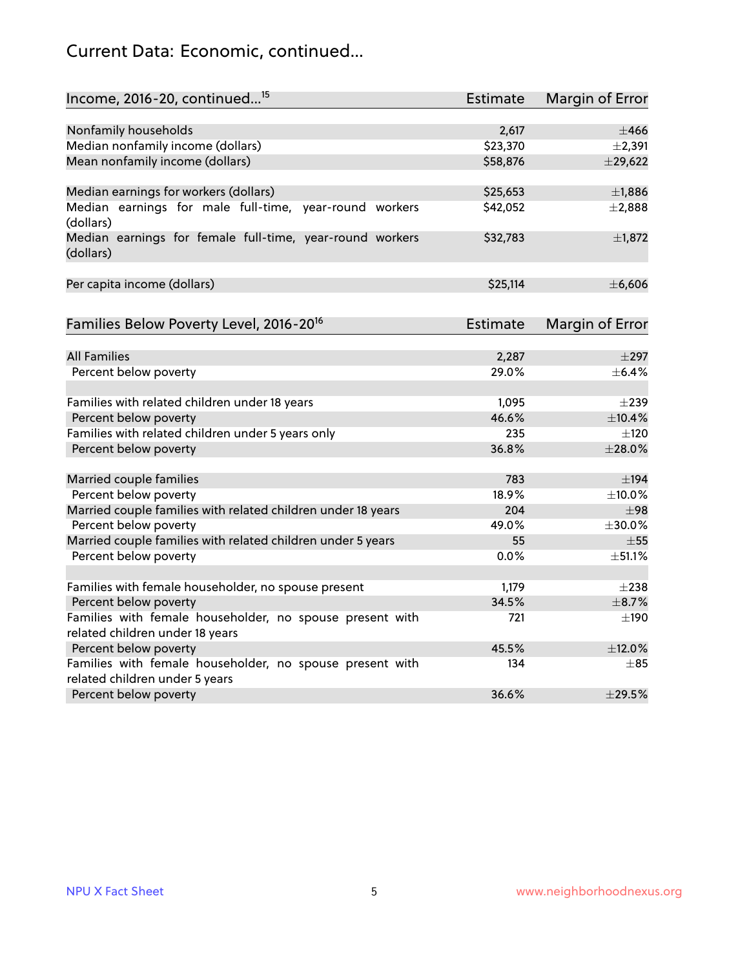## Current Data: Economic, continued...

| Income, 2016-20, continued <sup>15</sup>                              | Estimate | Margin of Error        |
|-----------------------------------------------------------------------|----------|------------------------|
|                                                                       |          |                        |
| Nonfamily households                                                  | 2,617    | $\pm 466$              |
| Median nonfamily income (dollars)                                     | \$23,370 | ±2,391                 |
| Mean nonfamily income (dollars)                                       | \$58,876 | $±$ 29,622             |
| Median earnings for workers (dollars)                                 | \$25,653 | ±1,886                 |
| Median earnings for male full-time, year-round workers                | \$42,052 | $\pm 2,888$            |
| (dollars)                                                             |          |                        |
| Median earnings for female full-time, year-round workers<br>(dollars) | \$32,783 | $\pm$ 1,872            |
| Per capita income (dollars)                                           | \$25,114 | ±6,606                 |
|                                                                       |          |                        |
| Families Below Poverty Level, 2016-20 <sup>16</sup>                   | Estimate | <b>Margin of Error</b> |
|                                                                       |          |                        |
| <b>All Families</b>                                                   | 2,287    | $\pm$ 297              |
| Percent below poverty                                                 | 29.0%    | $\pm$ 6.4%             |
| Families with related children under 18 years                         | 1,095    | $\pm 239$              |
| Percent below poverty                                                 | 46.6%    | ±10.4%                 |
| Families with related children under 5 years only                     | 235      | $\pm 120$              |
| Percent below poverty                                                 | 36.8%    | ±28.0%                 |
| Married couple families                                               | 783      | $\pm$ 194              |
| Percent below poverty                                                 | 18.9%    | $\pm$ 10.0%            |
| Married couple families with related children under 18 years          | 204      | ±98                    |
| Percent below poverty                                                 | 49.0%    | ±30.0%                 |
| Married couple families with related children under 5 years           | 55       | $\pm$ 55               |
| Percent below poverty                                                 | 0.0%     | ±51.1%                 |
| Families with female householder, no spouse present                   | 1,179    | $\pm 238$              |
| Percent below poverty                                                 | 34.5%    | $\pm$ 8.7%             |
| Families with female householder, no spouse present with              | 721      | $\pm$ 190              |
| related children under 18 years                                       |          |                        |
| Percent below poverty                                                 | 45.5%    | ±12.0%                 |
| Families with female householder, no spouse present with              | 134      | $\pm$ 85               |
| related children under 5 years                                        |          |                        |
| Percent below poverty                                                 | 36.6%    | ±29.5%                 |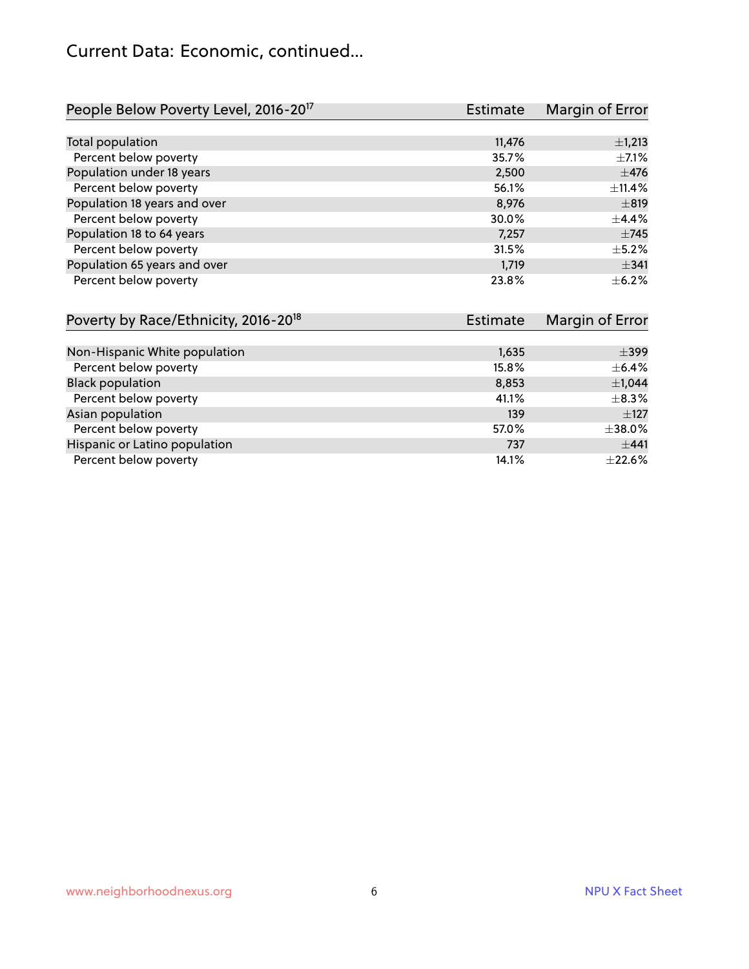#### Current Data: Economic, continued...

| People Below Poverty Level, 2016-20 <sup>17</sup> | <b>Estimate</b> | Margin of Error |
|---------------------------------------------------|-----------------|-----------------|
|                                                   |                 |                 |
| Total population                                  | 11,476          | $\pm$ 1,213     |
| Percent below poverty                             | 35.7%           | $\pm$ 7.1%      |
| Population under 18 years                         | 2,500           | $\pm$ 476       |
| Percent below poverty                             | 56.1%           | ±11.4%          |
| Population 18 years and over                      | 8,976           | $\pm$ 819       |
| Percent below poverty                             | 30.0%           | $+4.4%$         |
| Population 18 to 64 years                         | 7,257           | $\pm 745$       |
| Percent below poverty                             | 31.5%           | $\pm$ 5.2%      |
| Population 65 years and over                      | 1,719           | $\pm$ 341       |
| Percent below poverty                             | 23.8%           | $+6.2%$         |

| Poverty by Race/Ethnicity, 2016-20 <sup>18</sup> | <b>Estimate</b> | Margin of Error |
|--------------------------------------------------|-----------------|-----------------|
|                                                  |                 |                 |
| Non-Hispanic White population                    | 1,635           | $\pm$ 399       |
| Percent below poverty                            | 15.8%           | $\pm$ 6.4%      |
| <b>Black population</b>                          | 8,853           | $\pm$ 1,044     |
| Percent below poverty                            | 41.1%           | $\pm$ 8.3%      |
| Asian population                                 | 139             | $\pm$ 127       |
| Percent below poverty                            | 57.0%           | $\pm$ 38.0%     |
| Hispanic or Latino population                    | 737             | ±441            |
| Percent below poverty                            | 14.1%           | $\pm 22.6\%$    |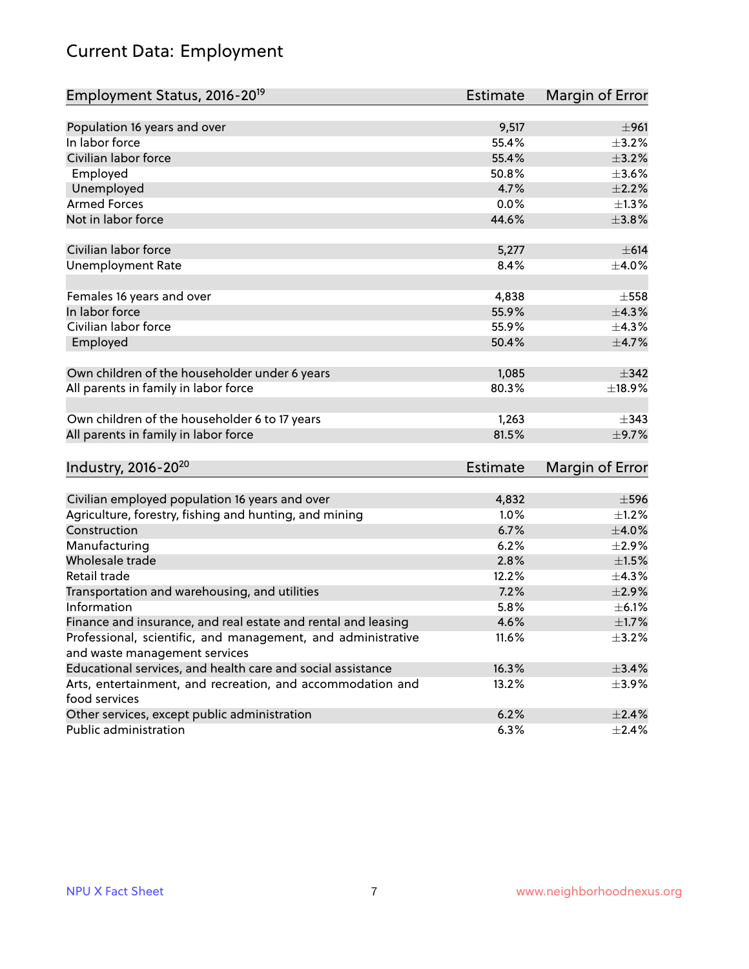## Current Data: Employment

| Employment Status, 2016-20 <sup>19</sup>                      | <b>Estimate</b> | Margin of Error |
|---------------------------------------------------------------|-----------------|-----------------|
|                                                               |                 |                 |
| Population 16 years and over                                  | 9,517           | ±961            |
| In labor force                                                | 55.4%           | $\pm$ 3.2%      |
| Civilian labor force                                          | 55.4%           | $\pm$ 3.2%      |
| Employed                                                      | 50.8%           | $\pm 3.6\%$     |
| Unemployed                                                    | 4.7%            | $\pm 2.2\%$     |
| <b>Armed Forces</b>                                           | 0.0%            | $\pm 1.3\%$     |
| Not in labor force                                            | 44.6%           | ±3.8%           |
| Civilian labor force                                          |                 |                 |
|                                                               | 5,277           | $\pm 614$       |
| <b>Unemployment Rate</b>                                      | 8.4%            | $\pm 4.0\%$     |
| Females 16 years and over                                     | 4,838           | $\pm$ 558       |
| In labor force                                                | 55.9%           | ±4.3%           |
| Civilian labor force                                          | 55.9%           | ±4.3%           |
| Employed                                                      | 50.4%           | $\pm$ 4.7%      |
|                                                               |                 |                 |
| Own children of the householder under 6 years                 | 1,085           | ±342            |
| All parents in family in labor force                          | 80.3%           | ±18.9%          |
|                                                               |                 |                 |
| Own children of the householder 6 to 17 years                 | 1,263           | $\pm$ 343       |
| All parents in family in labor force                          | 81.5%           | $\pm$ 9.7%      |
|                                                               |                 |                 |
| Industry, 2016-20 <sup>20</sup>                               | Estimate        | Margin of Error |
|                                                               |                 |                 |
| Civilian employed population 16 years and over                | 4,832           | $\pm$ 596       |
| Agriculture, forestry, fishing and hunting, and mining        | 1.0%            | $\pm$ 1.2%      |
| Construction                                                  | 6.7%            | $\pm 4.0\%$     |
| Manufacturing                                                 | 6.2%            | $\pm 2.9\%$     |
| Wholesale trade                                               | 2.8%            | $\pm 1.5\%$     |
| Retail trade                                                  | 12.2%           | ±4.3%           |
| Transportation and warehousing, and utilities                 | 7.2%            | $\pm 2.9\%$     |
| Information                                                   | 5.8%            | $\pm$ 6.1%      |
| Finance and insurance, and real estate and rental and leasing | 4.6%            | ±1.7%           |
| Professional, scientific, and management, and administrative  | 11.6%           | $\pm$ 3.2%      |
| and waste management services                                 |                 |                 |
| Educational services, and health care and social assistance   | 16.3%           | ±3.4%           |
| Arts, entertainment, and recreation, and accommodation and    | 13.2%           | $\pm$ 3.9%      |
| food services                                                 |                 |                 |
| Other services, except public administration                  | 6.2%            | $\pm 2.4\%$     |
| Public administration                                         | 6.3%            | $\pm$ 2.4%      |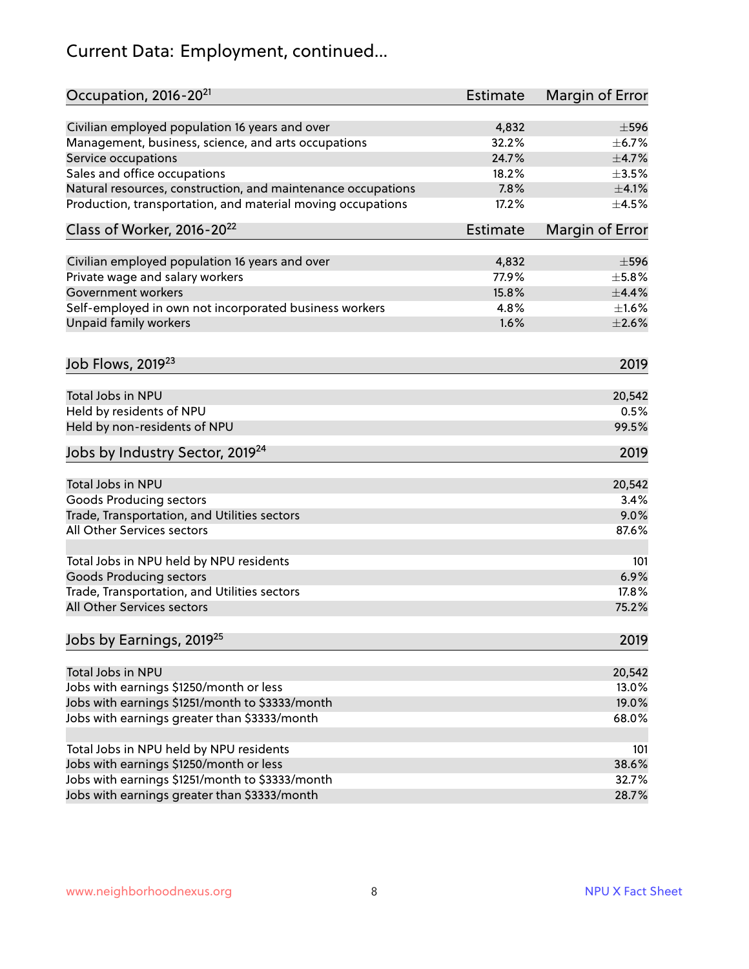## Current Data: Employment, continued...

| Occupation, 2016-20 <sup>21</sup>                            | <b>Estimate</b> | Margin of Error |
|--------------------------------------------------------------|-----------------|-----------------|
| Civilian employed population 16 years and over               | 4,832           | $\pm$ 596       |
| Management, business, science, and arts occupations          | 32.2%           | $\pm$ 6.7%      |
| Service occupations                                          | 24.7%           | $\pm$ 4.7%      |
| Sales and office occupations                                 | 18.2%           | $\pm 3.5\%$     |
| Natural resources, construction, and maintenance occupations | 7.8%            | $\pm 4.1\%$     |
| Production, transportation, and material moving occupations  | 17.2%           | $\pm 4.5\%$     |
| Class of Worker, 2016-20 <sup>22</sup>                       | Estimate        | Margin of Error |
| Civilian employed population 16 years and over               | 4,832           | $\pm$ 596       |
| Private wage and salary workers                              | 77.9%           | $\pm$ 5.8%      |
| Government workers                                           | 15.8%           | $\pm$ 4.4%      |
| Self-employed in own not incorporated business workers       | 4.8%            | $\pm1.6\%$      |
| Unpaid family workers                                        | 1.6%            | $\pm 2.6\%$     |
| Job Flows, 2019 <sup>23</sup>                                |                 | 2019            |
| Total Jobs in NPU                                            |                 | 20,542          |
| Held by residents of NPU                                     |                 | 0.5%            |
| Held by non-residents of NPU                                 |                 | 99.5%           |
|                                                              |                 |                 |
| Jobs by Industry Sector, 2019 <sup>24</sup>                  |                 | 2019            |
| Total Jobs in NPU                                            |                 | 20,542          |
| <b>Goods Producing sectors</b>                               |                 | 3.4%            |
| Trade, Transportation, and Utilities sectors                 |                 | 9.0%            |
| All Other Services sectors                                   |                 | 87.6%           |
| Total Jobs in NPU held by NPU residents                      |                 | 101             |
| <b>Goods Producing sectors</b>                               |                 | 6.9%            |
| Trade, Transportation, and Utilities sectors                 |                 | 17.8%           |
| All Other Services sectors                                   |                 | 75.2%           |
| Jobs by Earnings, 2019 <sup>25</sup>                         |                 | 2019            |
| Total Jobs in NPU                                            |                 | 20,542          |
| Jobs with earnings \$1250/month or less                      |                 | 13.0%           |
| Jobs with earnings \$1251/month to \$3333/month              |                 | 19.0%           |
| Jobs with earnings greater than \$3333/month                 |                 | 68.0%           |
|                                                              |                 |                 |
| Total Jobs in NPU held by NPU residents                      |                 | 101             |
| Jobs with earnings \$1250/month or less                      |                 | 38.6%           |
| Jobs with earnings \$1251/month to \$3333/month              |                 | 32.7%           |
| Jobs with earnings greater than \$3333/month                 |                 | 28.7%           |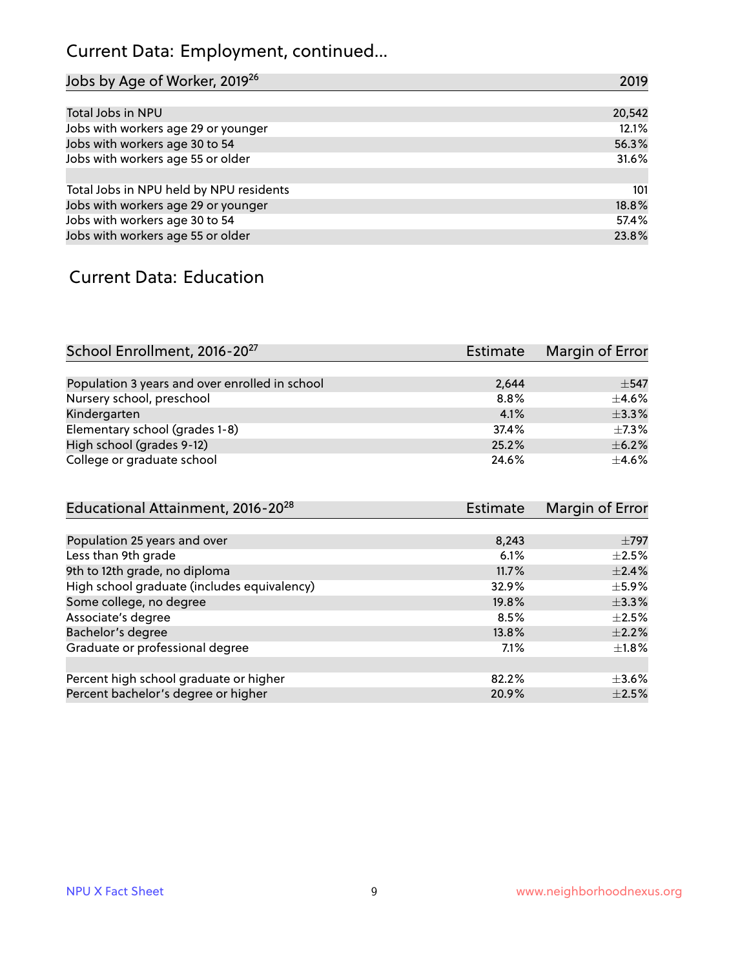## Current Data: Employment, continued...

| Jobs by Age of Worker, 2019 <sup>26</sup> | 2019   |
|-------------------------------------------|--------|
|                                           |        |
| Total Jobs in NPU                         | 20,542 |
| Jobs with workers age 29 or younger       | 12.1%  |
| Jobs with workers age 30 to 54            | 56.3%  |
| Jobs with workers age 55 or older         | 31.6%  |
|                                           |        |
| Total Jobs in NPU held by NPU residents   | 101    |
| Jobs with workers age 29 or younger       | 18.8%  |
| Jobs with workers age 30 to 54            | 57.4%  |
| Jobs with workers age 55 or older         | 23.8%  |

#### Current Data: Education

| School Enrollment, 2016-20 <sup>27</sup>       | Estimate | Margin of Error |
|------------------------------------------------|----------|-----------------|
|                                                |          |                 |
| Population 3 years and over enrolled in school | 2,644    | $+547$          |
| Nursery school, preschool                      | 8.8%     | $\pm$ 4.6%      |
| Kindergarten                                   | 4.1%     | $+3.3%$         |
| Elementary school (grades 1-8)                 | 37.4%    | $\pm$ 7.3%      |
| High school (grades 9-12)                      | 25.2%    | $\pm$ 6.2%      |
| College or graduate school                     | 24.6%    | $\pm$ 4.6%      |

| Educational Attainment, 2016-20 <sup>28</sup> | <b>Estimate</b> | Margin of Error |
|-----------------------------------------------|-----------------|-----------------|
|                                               |                 |                 |
| Population 25 years and over                  | 8,243           | $\pm$ 797       |
| Less than 9th grade                           | 6.1%            | $\pm 2.5\%$     |
| 9th to 12th grade, no diploma                 | 11.7%           | $\pm 2.4\%$     |
| High school graduate (includes equivalency)   | 32.9%           | $\pm$ 5.9%      |
| Some college, no degree                       | 19.8%           | $\pm$ 3.3%      |
| Associate's degree                            | 8.5%            | $\pm 2.5\%$     |
| Bachelor's degree                             | 13.8%           | $\pm 2.2\%$     |
| Graduate or professional degree               | 7.1%            | $\pm 1.8\%$     |
|                                               |                 |                 |
| Percent high school graduate or higher        | 82.2%           | $\pm 3.6\%$     |
| Percent bachelor's degree or higher           | 20.9%           | $\pm 2.5\%$     |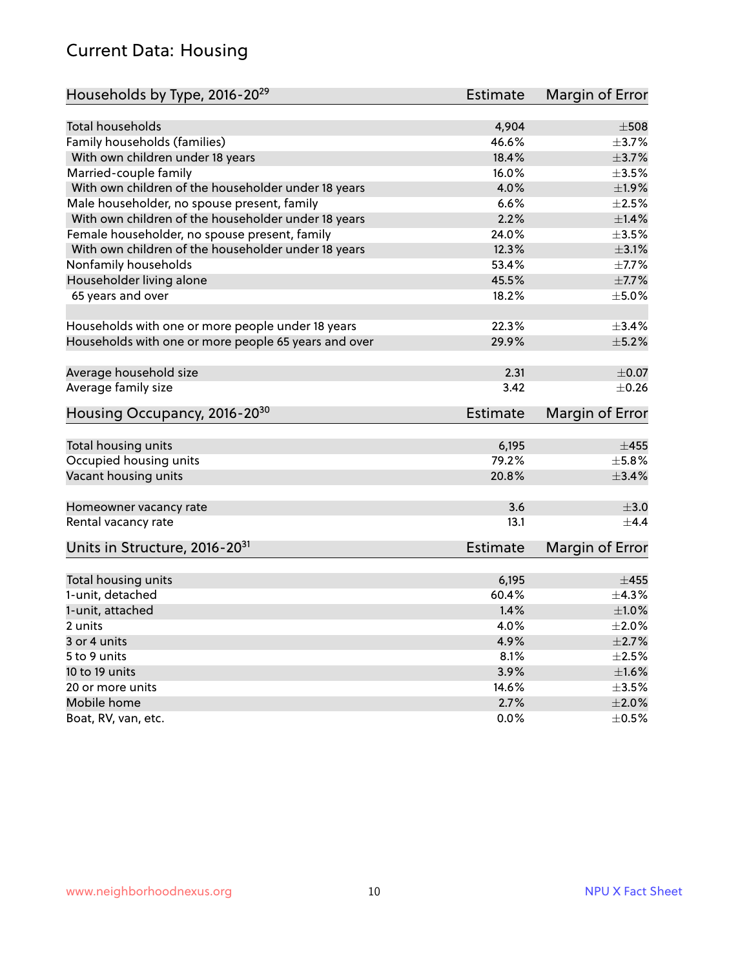#### Current Data: Housing

| Households by Type, 2016-20 <sup>29</sup>            | <b>Estimate</b> | Margin of Error |
|------------------------------------------------------|-----------------|-----------------|
|                                                      |                 |                 |
| Total households                                     | 4,904           | $\pm$ 508       |
| Family households (families)                         | 46.6%           | $\pm$ 3.7%      |
| With own children under 18 years                     | 18.4%           | $\pm$ 3.7%      |
| Married-couple family                                | 16.0%           | $\pm$ 3.5%      |
| With own children of the householder under 18 years  | 4.0%            | ±1.9%           |
| Male householder, no spouse present, family          | 6.6%            | $\pm 2.5\%$     |
| With own children of the householder under 18 years  | 2.2%            | $\pm1.4\%$      |
| Female householder, no spouse present, family        | 24.0%           | $\pm 3.5\%$     |
| With own children of the householder under 18 years  | 12.3%           | $\pm$ 3.1%      |
| Nonfamily households                                 | 53.4%           | $\pm$ 7.7%      |
| Householder living alone                             | 45.5%           | $\pm$ 7.7%      |
| 65 years and over                                    | 18.2%           | $\pm$ 5.0%      |
|                                                      |                 |                 |
| Households with one or more people under 18 years    | 22.3%           | ±3.4%           |
| Households with one or more people 65 years and over | 29.9%           | $\pm$ 5.2%      |
| Average household size                               | 2.31            | $\pm 0.07$      |
| Average family size                                  | 3.42            | $\pm$ 0.26      |
|                                                      |                 |                 |
| Housing Occupancy, 2016-20 <sup>30</sup>             | <b>Estimate</b> | Margin of Error |
| Total housing units                                  | 6,195           | $\pm 455$       |
| Occupied housing units                               | 79.2%           | $\pm$ 5.8%      |
| Vacant housing units                                 | 20.8%           | $\pm$ 3.4%      |
|                                                      |                 |                 |
| Homeowner vacancy rate                               | 3.6             | $\pm$ 3.0       |
| Rental vacancy rate                                  | 13.1            | $+4.4$          |
| Units in Structure, 2016-20 <sup>31</sup>            | Estimate        | Margin of Error |
|                                                      |                 |                 |
| Total housing units                                  | 6,195           | $\pm 455$       |
| 1-unit, detached                                     | 60.4%           | $\pm$ 4.3%      |
| 1-unit, attached                                     | 1.4%            | $\pm1.0\%$      |
| 2 units                                              | 4.0%            | $\pm 2.0\%$     |
| 3 or 4 units                                         | 4.9%            | $\pm 2.7\%$     |
| 5 to 9 units                                         | 8.1%            | $\pm 2.5\%$     |
| 10 to 19 units                                       | 3.9%            | ±1.6%           |
| 20 or more units                                     | 14.6%           | $\pm 3.5\%$     |
| Mobile home                                          | 2.7%            | $\pm 2.0\%$     |
| Boat, RV, van, etc.                                  | $0.0\%$         | $\pm$ 0.5%      |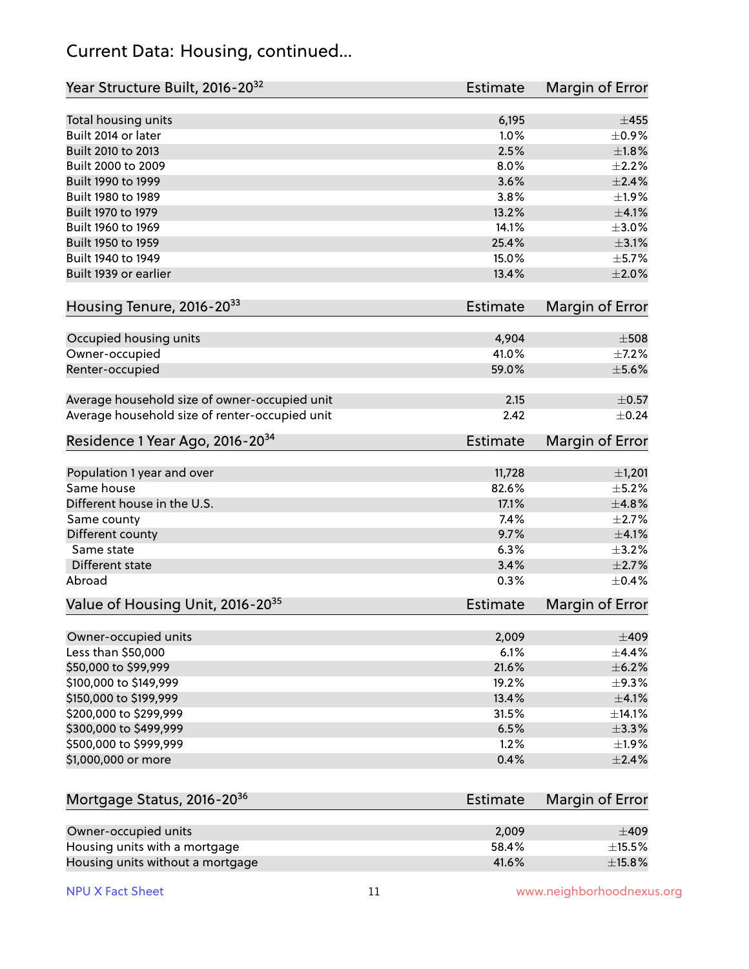#### Current Data: Housing, continued...

| Year Structure Built, 2016-20 <sup>32</sup>    | <b>Estimate</b> | Margin of Error |
|------------------------------------------------|-----------------|-----------------|
| Total housing units                            | 6,195           | $\pm 455$       |
| Built 2014 or later                            | 1.0%            | $\pm$ 0.9%      |
| Built 2010 to 2013                             | 2.5%            | $\pm 1.8\%$     |
| Built 2000 to 2009                             | 8.0%            | $\pm 2.2\%$     |
| Built 1990 to 1999                             | 3.6%            | $\pm 2.4\%$     |
| Built 1980 to 1989                             | 3.8%            | ±1.9%           |
| Built 1970 to 1979                             | 13.2%           | $\pm 4.1\%$     |
| Built 1960 to 1969                             | 14.1%           | $\pm 3.0\%$     |
| Built 1950 to 1959                             | 25.4%           | $\pm 3.1\%$     |
| Built 1940 to 1949                             | 15.0%           | $\pm$ 5.7%      |
| Built 1939 or earlier                          | 13.4%           | $\pm 2.0\%$     |
|                                                |                 |                 |
| Housing Tenure, 2016-2033                      | <b>Estimate</b> | Margin of Error |
| Occupied housing units                         | 4,904           | $\pm$ 508       |
| Owner-occupied                                 | 41.0%           | $\pm$ 7.2%      |
| Renter-occupied                                | 59.0%           | $\pm$ 5.6%      |
|                                                |                 |                 |
| Average household size of owner-occupied unit  | 2.15            | $\pm$ 0.57      |
| Average household size of renter-occupied unit | 2.42            | $\pm$ 0.24      |
| Residence 1 Year Ago, 2016-20 <sup>34</sup>    | <b>Estimate</b> | Margin of Error |
|                                                |                 |                 |
| Population 1 year and over                     | 11,728          | ±1,201          |
| Same house                                     | 82.6%           | $\pm$ 5.2%      |
| Different house in the U.S.                    | 17.1%           | ±4.8%           |
| Same county                                    | 7.4%            | $\pm 2.7\%$     |
| Different county                               | 9.7%            | $\pm$ 4.1%      |
| Same state                                     | 6.3%            | $\pm$ 3.2%      |
| Different state                                | 3.4%            | $\pm 2.7\%$     |
| Abroad                                         | 0.3%            | $\pm$ 0.4%      |
| Value of Housing Unit, 2016-20 <sup>35</sup>   | <b>Estimate</b> | Margin of Error |
| Owner-occupied units                           | 2,009           | $\pm 409$       |
| Less than \$50,000                             | 6.1%            | ±4.4%           |
| \$50,000 to \$99,999                           | 21.6%           | $\pm$ 6.2%      |
| \$100,000 to \$149,999                         | 19.2%           | $\pm$ 9.3%      |
| \$150,000 to \$199,999                         | 13.4%           | $\pm$ 4.1%      |
| \$200,000 to \$299,999                         | 31.5%           | ±14.1%          |
| \$300,000 to \$499,999                         | 6.5%            | $\pm$ 3.3%      |
| \$500,000 to \$999,999                         | 1.2%            | $\pm 1.9\%$     |
| \$1,000,000 or more                            | 0.4%            | $\pm 2.4\%$     |
|                                                |                 |                 |
| Mortgage Status, 2016-20 <sup>36</sup>         | <b>Estimate</b> | Margin of Error |
| Owner-occupied units                           | 2,009           | $\pm 409$       |
| Housing units with a mortgage                  | 58.4%           | $\pm$ 15.5%     |
| Housing units without a mortgage               | 41.6%           | $\pm$ 15.8%     |
|                                                |                 |                 |

Housing units without a mortgage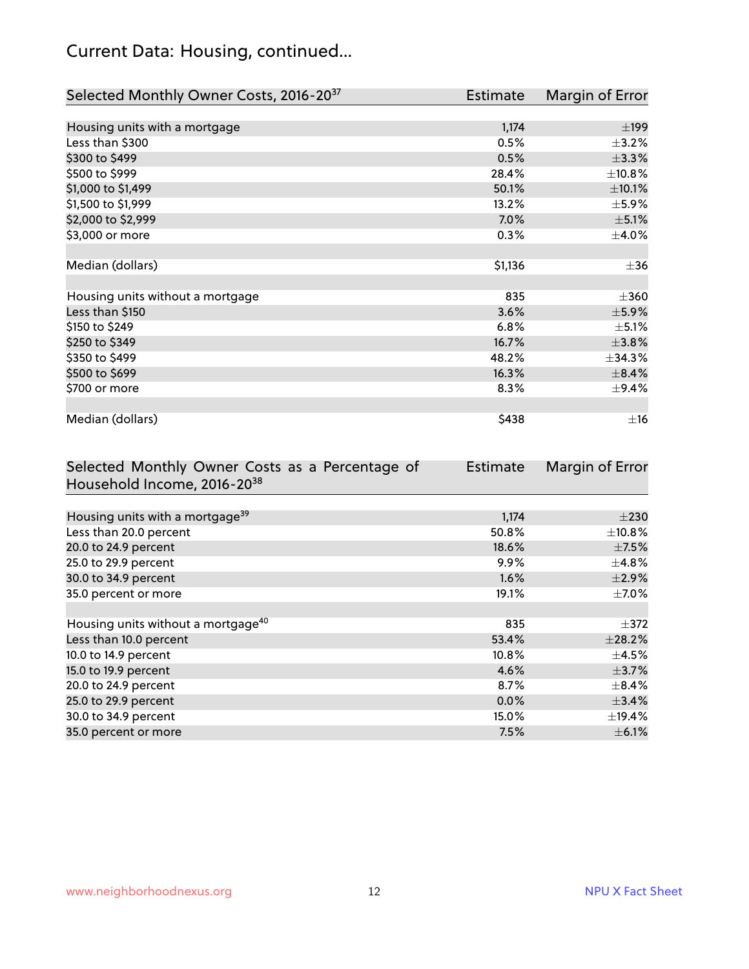## Current Data: Housing, continued...

| Selected Monthly Owner Costs, 2016-20 <sup>37</sup> | Estimate | Margin of Error |
|-----------------------------------------------------|----------|-----------------|
|                                                     |          |                 |
| Housing units with a mortgage                       | 1,174    | ±199            |
| Less than \$300                                     | 0.5%     | $\pm$ 3.2%      |
| \$300 to \$499                                      | 0.5%     | ±3.3%           |
| \$500 to \$999                                      | 28.4%    | ±10.8%          |
| \$1,000 to \$1,499                                  | 50.1%    | ±10.1%          |
| \$1,500 to \$1,999                                  | 13.2%    | $\pm$ 5.9%      |
| \$2,000 to \$2,999                                  | 7.0%     | $\pm$ 5.1%      |
| \$3,000 or more                                     | 0.3%     | $\pm$ 4.0%      |
|                                                     |          |                 |
| Median (dollars)                                    | \$1,136  | $\pm$ 36        |
|                                                     |          |                 |
| Housing units without a mortgage                    | 835      | $\pm 360$       |
| Less than \$150                                     | 3.6%     | $\pm$ 5.9%      |
| \$150 to \$249                                      | 6.8%     | $\pm$ 5.1%      |
| \$250 to \$349                                      | 16.7%    | ±3.8%           |
| \$350 to \$499                                      | 48.2%    | $\pm$ 34.3%     |
| \$500 to \$699                                      | 16.3%    | ±8.4%           |
| \$700 or more                                       | 8.3%     | $\pm$ 9.4%      |
|                                                     |          |                 |
| Median (dollars)                                    | \$438    | $\pm$ 16        |

| Selected Monthly Owner Costs as a Percentage of | Estimate | Margin of Error |
|-------------------------------------------------|----------|-----------------|
| Household Income, 2016-20 <sup>38</sup>         |          |                 |
|                                                 |          |                 |
| Housing units with a mortgage <sup>39</sup>     | 1,174    | $\pm 230$       |
| Less than 20.0 percent                          | 50.8%    | $\pm$ 10.8%     |
| 20.0 to 24.9 percent                            | 18.6%    | $\pm$ 7.5%      |
| 25.0 to 29.9 percent                            | 9.9%     | $\pm$ 4.8%      |
| 30.0 to 34.9 percent                            | 1.6%     | $\pm$ 2.9%      |
| 35.0 percent or more                            | 19.1%    | $\pm$ 7.0%      |
|                                                 |          |                 |
| Housing units without a mortgage <sup>40</sup>  | 835      | $\pm 372$       |
| Less than 10.0 percent                          | 53.4%    | ±28.2%          |
| 10.0 to 14.9 percent                            | 10.8%    | $\pm$ 4.5%      |
| 15.0 to 19.9 percent                            | 4.6%     | $\pm$ 3.7%      |
| 20.0 to 24.9 percent                            | 8.7%     | $\pm$ 8.4%      |
| 25.0 to 29.9 percent                            | 0.0%     | ±3.4%           |
| 30.0 to 34.9 percent                            | 15.0%    | $\pm$ 19.4%     |
| 35.0 percent or more                            | 7.5%     | $\pm$ 6.1%      |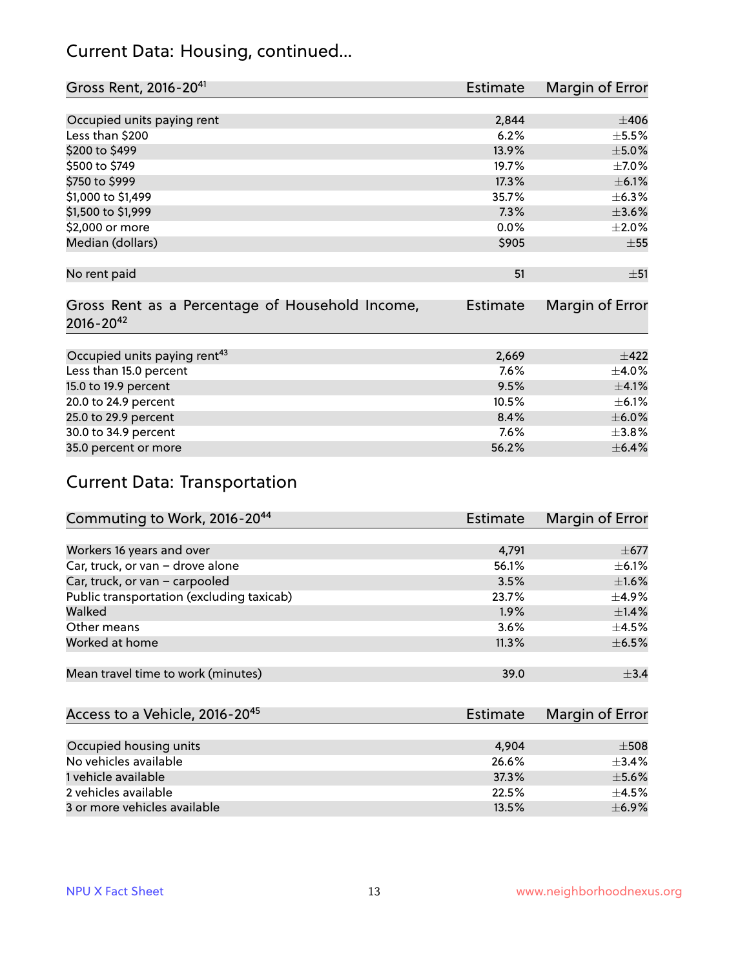#### Current Data: Housing, continued...

| Gross Rent, 2016-20 <sup>41</sup>                                   | Estimate | Margin of Error |
|---------------------------------------------------------------------|----------|-----------------|
|                                                                     |          |                 |
| Occupied units paying rent                                          | 2,844    | $\pm 406$       |
| Less than \$200                                                     | 6.2%     | $\pm$ 5.5%      |
| \$200 to \$499                                                      | 13.9%    | $\pm$ 5.0%      |
| \$500 to \$749                                                      | 19.7%    | $\pm$ 7.0%      |
| \$750 to \$999                                                      | 17.3%    | $\pm$ 6.1%      |
| \$1,000 to \$1,499                                                  | 35.7%    | $\pm$ 6.3%      |
| \$1,500 to \$1,999                                                  | 7.3%     | $\pm 3.6\%$     |
| \$2,000 or more                                                     | 0.0%     | $\pm 2.0\%$     |
| Median (dollars)                                                    | \$905    | $\pm$ 55        |
|                                                                     |          |                 |
| No rent paid                                                        | 51       | ±51             |
| Gross Rent as a Percentage of Household Income,<br>$2016 - 20^{42}$ | Estimate | Margin of Error |
| Occupied units paying rent <sup>43</sup>                            | 2,669    | $\pm 422$       |
| Less than 15.0 percent                                              | 7.6%     | $\pm 4.0\%$     |
| 15.0 to 19.9 percent                                                | 9.5%     | $\pm 4.1\%$     |
| 20.0 to 24.9 percent                                                | 10.5%    | $\pm$ 6.1%      |
| 25.0 to 29.9 percent                                                | 8.4%     | $\pm$ 6.0%      |
| 30.0 to 34.9 percent                                                | 7.6%     | ±3.8%           |
| 35.0 percent or more                                                | 56.2%    | $\pm$ 6.4%      |
|                                                                     |          |                 |

## Current Data: Transportation

| Commuting to Work, 2016-20 <sup>44</sup>  | <b>Estimate</b> | Margin of Error |
|-------------------------------------------|-----------------|-----------------|
|                                           |                 |                 |
| Workers 16 years and over                 | 4,791           | $\pm$ 677       |
| Car, truck, or van - drove alone          | 56.1%           | $\pm$ 6.1%      |
| Car, truck, or van - carpooled            | 3.5%            | $\pm1.6\%$      |
| Public transportation (excluding taxicab) | 23.7%           | $\pm$ 4.9%      |
| Walked                                    | $1.9\%$         | $\pm$ 1.4%      |
| Other means                               | 3.6%            | $\pm$ 4.5%      |
| Worked at home                            | 11.3%           | $\pm$ 6.5%      |
|                                           |                 |                 |
| Mean travel time to work (minutes)        | 39.0            | $\pm$ 3.4       |

| Access to a Vehicle, 2016-20 <sup>45</sup> | Estimate | Margin of Error |
|--------------------------------------------|----------|-----------------|
|                                            |          |                 |
| Occupied housing units                     | 4,904    | $\pm$ 508       |
| No vehicles available                      | 26.6%    | $+3.4%$         |
| 1 vehicle available                        | 37.3%    | $\pm$ 5.6%      |
| 2 vehicles available                       | 22.5%    | $+4.5%$         |
| 3 or more vehicles available               | 13.5%    | $\pm$ 6.9%      |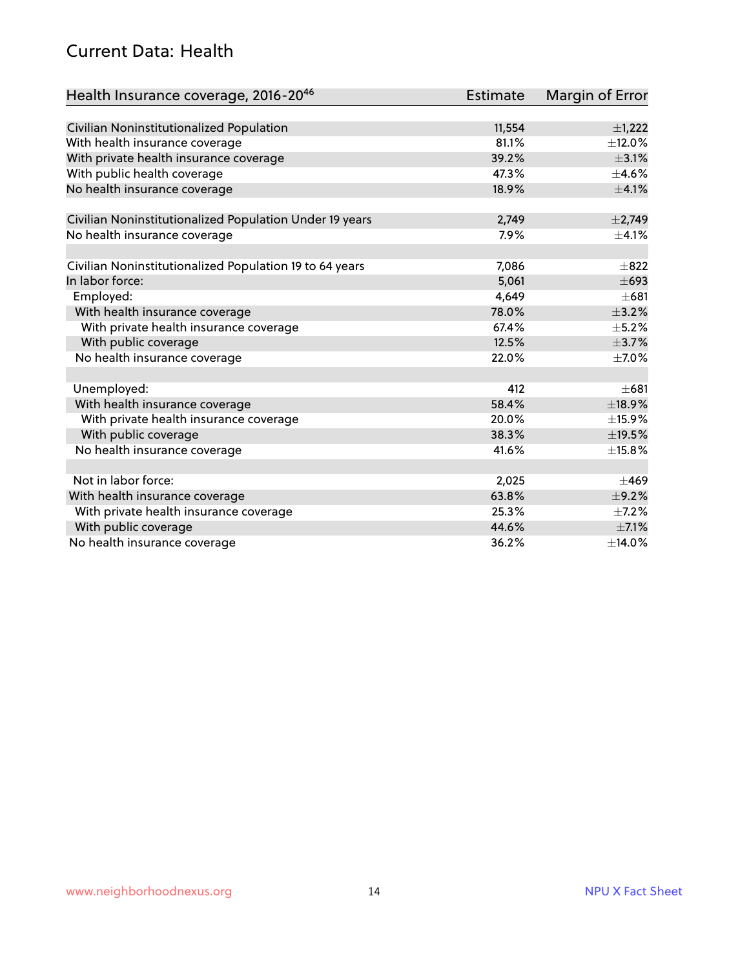#### Current Data: Health

| Health Insurance coverage, 2016-2046                    | <b>Estimate</b> | <b>Margin of Error</b> |
|---------------------------------------------------------|-----------------|------------------------|
|                                                         |                 |                        |
| Civilian Noninstitutionalized Population                | 11,554          | $\pm$ 1,222            |
| With health insurance coverage                          | 81.1%           | $\pm$ 12.0%            |
| With private health insurance coverage                  | 39.2%           | $\pm$ 3.1%             |
| With public health coverage                             | 47.3%           | $\pm$ 4.6%             |
| No health insurance coverage                            | 18.9%           | $\pm 4.1\%$            |
|                                                         |                 |                        |
| Civilian Noninstitutionalized Population Under 19 years | 2,749           | $\pm$ 2,749            |
| No health insurance coverage                            | 7.9%            | $\pm$ 4.1%             |
|                                                         |                 |                        |
| Civilian Noninstitutionalized Population 19 to 64 years | 7,086           | $\pm$ 822              |
| In labor force:                                         | 5,061           | $\pm 693$              |
| Employed:                                               | 4,649           | $\pm 681$              |
| With health insurance coverage                          | 78.0%           | $\pm$ 3.2%             |
| With private health insurance coverage                  | 67.4%           | $\pm$ 5.2%             |
| With public coverage                                    | 12.5%           | $\pm$ 3.7%             |
| No health insurance coverage                            | 22.0%           | $\pm$ 7.0%             |
|                                                         |                 |                        |
| Unemployed:                                             | 412             | $\pm 681$              |
| With health insurance coverage                          | 58.4%           | ±18.9%                 |
| With private health insurance coverage                  | 20.0%           | ±15.9%                 |
| With public coverage                                    | 38.3%           | ±19.5%                 |
| No health insurance coverage                            | 41.6%           | ±15.8%                 |
|                                                         |                 |                        |
| Not in labor force:                                     | 2,025           | $\pm 469$              |
| With health insurance coverage                          | 63.8%           | $\pm$ 9.2%             |
| With private health insurance coverage                  | 25.3%           | $\pm$ 7.2%             |
| With public coverage                                    | 44.6%           | $\pm$ 7.1%             |
| No health insurance coverage                            | 36.2%           | ±14.0%                 |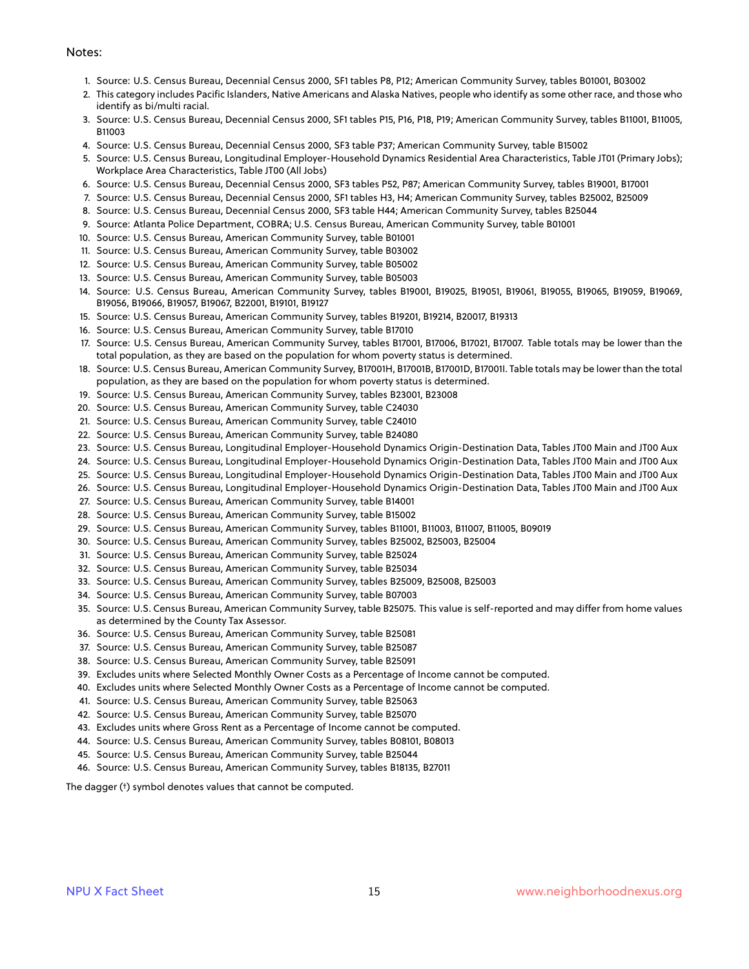#### Notes:

- 1. Source: U.S. Census Bureau, Decennial Census 2000, SF1 tables P8, P12; American Community Survey, tables B01001, B03002
- 2. This category includes Pacific Islanders, Native Americans and Alaska Natives, people who identify as some other race, and those who identify as bi/multi racial.
- 3. Source: U.S. Census Bureau, Decennial Census 2000, SF1 tables P15, P16, P18, P19; American Community Survey, tables B11001, B11005, B11003
- 4. Source: U.S. Census Bureau, Decennial Census 2000, SF3 table P37; American Community Survey, table B15002
- 5. Source: U.S. Census Bureau, Longitudinal Employer-Household Dynamics Residential Area Characteristics, Table JT01 (Primary Jobs); Workplace Area Characteristics, Table JT00 (All Jobs)
- 6. Source: U.S. Census Bureau, Decennial Census 2000, SF3 tables P52, P87; American Community Survey, tables B19001, B17001
- 7. Source: U.S. Census Bureau, Decennial Census 2000, SF1 tables H3, H4; American Community Survey, tables B25002, B25009
- 8. Source: U.S. Census Bureau, Decennial Census 2000, SF3 table H44; American Community Survey, tables B25044
- 9. Source: Atlanta Police Department, COBRA; U.S. Census Bureau, American Community Survey, table B01001
- 10. Source: U.S. Census Bureau, American Community Survey, table B01001
- 11. Source: U.S. Census Bureau, American Community Survey, table B03002
- 12. Source: U.S. Census Bureau, American Community Survey, table B05002
- 13. Source: U.S. Census Bureau, American Community Survey, table B05003
- 14. Source: U.S. Census Bureau, American Community Survey, tables B19001, B19025, B19051, B19061, B19055, B19065, B19059, B19069, B19056, B19066, B19057, B19067, B22001, B19101, B19127
- 15. Source: U.S. Census Bureau, American Community Survey, tables B19201, B19214, B20017, B19313
- 16. Source: U.S. Census Bureau, American Community Survey, table B17010
- 17. Source: U.S. Census Bureau, American Community Survey, tables B17001, B17006, B17021, B17007. Table totals may be lower than the total population, as they are based on the population for whom poverty status is determined.
- 18. Source: U.S. Census Bureau, American Community Survey, B17001H, B17001B, B17001D, B17001I. Table totals may be lower than the total population, as they are based on the population for whom poverty status is determined.
- 19. Source: U.S. Census Bureau, American Community Survey, tables B23001, B23008
- 20. Source: U.S. Census Bureau, American Community Survey, table C24030
- 21. Source: U.S. Census Bureau, American Community Survey, table C24010
- 22. Source: U.S. Census Bureau, American Community Survey, table B24080
- 23. Source: U.S. Census Bureau, Longitudinal Employer-Household Dynamics Origin-Destination Data, Tables JT00 Main and JT00 Aux
- 24. Source: U.S. Census Bureau, Longitudinal Employer-Household Dynamics Origin-Destination Data, Tables JT00 Main and JT00 Aux
- 25. Source: U.S. Census Bureau, Longitudinal Employer-Household Dynamics Origin-Destination Data, Tables JT00 Main and JT00 Aux
- 26. Source: U.S. Census Bureau, Longitudinal Employer-Household Dynamics Origin-Destination Data, Tables JT00 Main and JT00 Aux
- 27. Source: U.S. Census Bureau, American Community Survey, table B14001
- 28. Source: U.S. Census Bureau, American Community Survey, table B15002
- 29. Source: U.S. Census Bureau, American Community Survey, tables B11001, B11003, B11007, B11005, B09019
- 30. Source: U.S. Census Bureau, American Community Survey, tables B25002, B25003, B25004
- 31. Source: U.S. Census Bureau, American Community Survey, table B25024
- 32. Source: U.S. Census Bureau, American Community Survey, table B25034
- 33. Source: U.S. Census Bureau, American Community Survey, tables B25009, B25008, B25003
- 34. Source: U.S. Census Bureau, American Community Survey, table B07003
- 35. Source: U.S. Census Bureau, American Community Survey, table B25075. This value is self-reported and may differ from home values as determined by the County Tax Assessor.
- 36. Source: U.S. Census Bureau, American Community Survey, table B25081
- 37. Source: U.S. Census Bureau, American Community Survey, table B25087
- 38. Source: U.S. Census Bureau, American Community Survey, table B25091
- 39. Excludes units where Selected Monthly Owner Costs as a Percentage of Income cannot be computed.
- 40. Excludes units where Selected Monthly Owner Costs as a Percentage of Income cannot be computed.
- 41. Source: U.S. Census Bureau, American Community Survey, table B25063
- 42. Source: U.S. Census Bureau, American Community Survey, table B25070
- 43. Excludes units where Gross Rent as a Percentage of Income cannot be computed.
- 44. Source: U.S. Census Bureau, American Community Survey, tables B08101, B08013
- 45. Source: U.S. Census Bureau, American Community Survey, table B25044
- 46. Source: U.S. Census Bureau, American Community Survey, tables B18135, B27011

The dagger (†) symbol denotes values that cannot be computed.